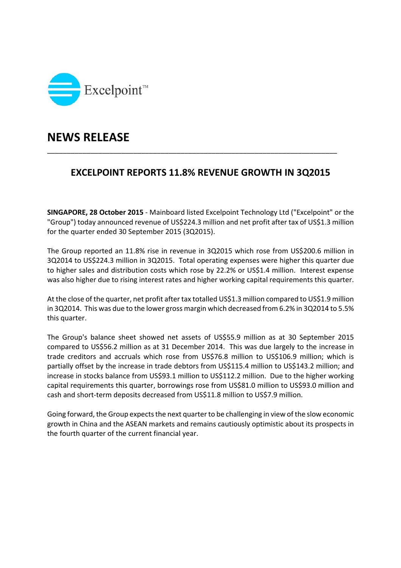

## **NEWS RELEASE**

## **EXCELPOINT REPORTS 11.8% REVENUE GROWTH IN 3Q2015**

\_\_\_\_\_\_\_\_\_\_\_\_\_\_\_\_\_\_\_\_\_\_\_\_\_\_\_\_\_\_\_\_\_\_\_\_\_\_\_\_\_\_\_\_\_\_\_\_\_\_\_\_\_\_\_\_\_\_\_\_\_\_\_\_\_\_\_\_\_\_\_\_\_\_

**SINGAPORE, 28 October 2015** ‐ Mainboard listed Excelpoint Technology Ltd ("Excelpoint" or the "Group") today announced revenue of US\$224.3 million and net profit after tax of US\$1.3 million for the quarter ended 30 September 2015 (3Q2015).

The Group reported an 11.8% rise in revenue in 3Q2015 which rose from US\$200.6 million in 3Q2014 to US\$224.3 million in 3Q2015. Total operating expenses were higher this quarter due to higher sales and distribution costs which rose by 22.2% or US\$1.4 million. Interest expense was also higher due to rising interest rates and higher working capital requirements this quarter.

At the close of the quarter, net profit after tax totalled US\$1.3 million compared to US\$1.9 million in 3Q2014. This was due to the lower gross margin which decreased from 6.2% in 3Q2014 to 5.5% this quarter.

The Group's balance sheet showed net assets of US\$55.9 million as at 30 September 2015 compared to US\$56.2 million as at 31 December 2014. This was due largely to the increase in trade creditors and accruals which rose from US\$76.8 million to US\$106.9 million; which is partially offset by the increase in trade debtors from US\$115.4 million to US\$143.2 million; and increase in stocks balance from US\$93.1 million to US\$112.2 million. Due to the higher working capital requirements this quarter, borrowings rose from US\$81.0 million to US\$93.0 million and cash and short-term deposits decreased from US\$11.8 million to US\$7.9 million.

Going forward, the Group expects the next quarter to be challenging in view of the slow economic growth in China and the ASEAN markets and remains cautiously optimistic about its prospects in the fourth quarter of the current financial year.